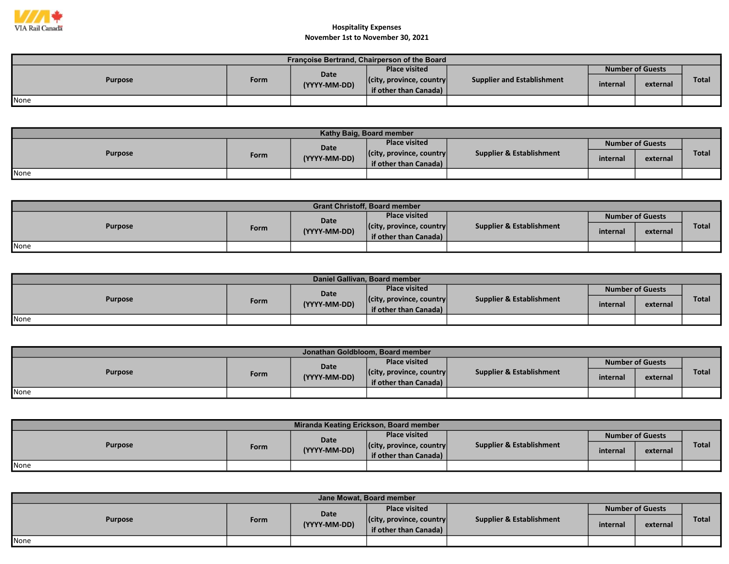

| Françoise Bertrand, Chairperson of the Board |      |                      |                                  |                            |          |                         |              |  |  |  |
|----------------------------------------------|------|----------------------|----------------------------------|----------------------------|----------|-------------------------|--------------|--|--|--|
| <b>Purpose</b>                               |      |                      | <b>Place visited</b>             |                            |          | <b>Number of Guests</b> |              |  |  |  |
|                                              | Form | Date<br>(YYYY-MM-DD) | $ $ (city, province, country $ $ | Supplier and Establishment | internal | external                | <b>Total</b> |  |  |  |
|                                              |      |                      | if other than Canada) $\vert$    |                            |          |                         |              |  |  |  |
| <b>None</b>                                  |      |                      |                                  |                            |          |                         |              |  |  |  |

| Kathy Baig, Board member |      |              |                                  |                          |                         |          |              |  |  |
|--------------------------|------|--------------|----------------------------------|--------------------------|-------------------------|----------|--------------|--|--|
| <b>Purpose</b>           |      | <b>Date</b>  | <b>Place visited</b>             |                          | <b>Number of Guests</b> |          |              |  |  |
|                          | Form | (YYYY-MM-DD) | $ $ (city, province, country $ $ | Supplier & Establishment | internal                | external | <b>Total</b> |  |  |
|                          |      |              | if other than Canada) $\vert$    |                          |                         |          |              |  |  |
| None                     |      |              |                                  |                          |                         |          |              |  |  |

| <b>Grant Christoff, Board member</b> |      |              |                                  |                                     |                         |          |              |  |  |
|--------------------------------------|------|--------------|----------------------------------|-------------------------------------|-------------------------|----------|--------------|--|--|
| <b>Purpose</b>                       |      | Date         | <b>Place visited</b>             |                                     | <b>Number of Guests</b> |          |              |  |  |
|                                      | Form | (YYYY-MM-DD) | $ $ (city, province, country $ $ | <b>Supplier &amp; Establishment</b> | internal                | external | <b>Total</b> |  |  |
|                                      |      |              | if other than Canada)            |                                     |                         |          |              |  |  |
| None                                 |      |              |                                  |                                     |                         |          |              |  |  |

| Daniel Gallivan, Board member |      |              |                                  |                                     |                  |          |              |  |  |  |
|-------------------------------|------|--------------|----------------------------------|-------------------------------------|------------------|----------|--------------|--|--|--|
| <b>Purpose</b>                |      | Date         | <b>Place visited</b>             | <b>Supplier &amp; Establishment</b> | Number of Guests |          |              |  |  |  |
|                               | Form | (YYYY-MM-DD) | $ $ (city, province, country $ $ |                                     | internal         | external | <b>Total</b> |  |  |  |
|                               |      |              | if other than Canada)            |                                     |                  |          |              |  |  |  |
| <b>None</b>                   |      |              |                                  |                                     |                  |          |              |  |  |  |

| Jonathan Goldbloom, Board member |      |              |                                  |                                     |                         |          |              |  |  |  |
|----------------------------------|------|--------------|----------------------------------|-------------------------------------|-------------------------|----------|--------------|--|--|--|
| <b>Purpose</b>                   |      | <b>Date</b>  | <b>Place visited</b>             |                                     | <b>Number of Guests</b> |          |              |  |  |  |
|                                  | Form | (YYYY-MM-DD) | $ $ (city, province, country $ $ | <b>Supplier &amp; Establishment</b> | internal                | external | <b>Total</b> |  |  |  |
|                                  |      |              | if other than Canada)            |                                     |                         |          |              |  |  |  |
| None                             |      |              |                                  |                                     |                         |          |              |  |  |  |

| Miranda Keating Erickson, Board member |      |              |                                  |                                     |          |                         |              |  |  |  |
|----------------------------------------|------|--------------|----------------------------------|-------------------------------------|----------|-------------------------|--------------|--|--|--|
| <b>Purpose</b>                         |      | <b>Date</b>  | <b>Place visited</b>             |                                     |          | <b>Number of Guests</b> |              |  |  |  |
|                                        | Form | (YYYY-MM-DD) | $ $ (city, province, country $ $ | <b>Supplier &amp; Establishment</b> | internal | external                | <b>Total</b> |  |  |  |
|                                        |      |              | if other than Canada)            |                                     |          |                         |              |  |  |  |
| None                                   |      |              |                                  |                                     |          |                         |              |  |  |  |

| Jane Mowat, Board member |  |                      |                                                           |                          |                         |          |              |  |  |  |
|--------------------------|--|----------------------|-----------------------------------------------------------|--------------------------|-------------------------|----------|--------------|--|--|--|
| <b>Purpose</b><br>Form   |  | Date<br>(YYYY-MM-DD) | <b>Place visited</b>                                      |                          | <b>Number of Guests</b> |          |              |  |  |  |
|                          |  |                      | $ $ (city, province, country $ $<br>if other than Canada) | Supplier & Establishment | internal                | external | <b>Total</b> |  |  |  |
| None                     |  |                      |                                                           |                          |                         |          |              |  |  |  |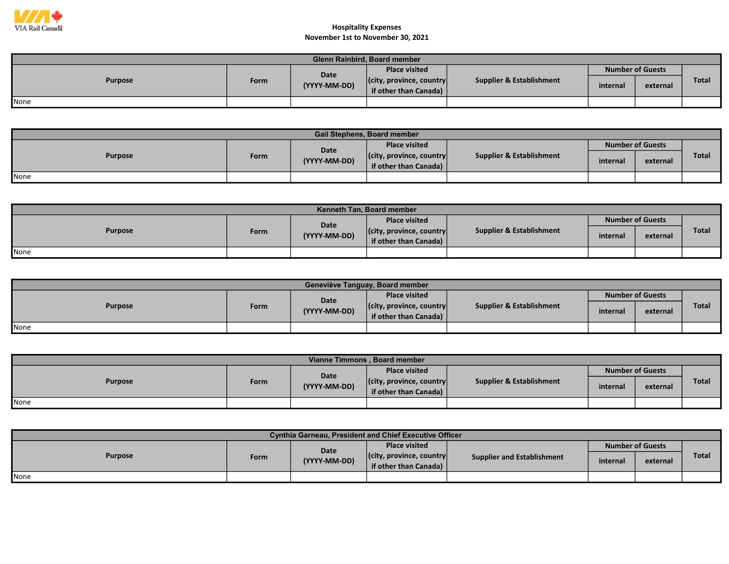

| <b>Glenn Rainbird, Board member</b> |      |                      |                                  |                          |          |                         |              |  |  |  |
|-------------------------------------|------|----------------------|----------------------------------|--------------------------|----------|-------------------------|--------------|--|--|--|
| <b>Purpose</b>                      | Form | Date<br>(YYYY-MM-DD) | <b>Place visited</b>             |                          |          | <b>Number of Guests</b> |              |  |  |  |
|                                     |      |                      | $ $ (city, province, country $ $ | Supplier & Establishment | internal | external                | <b>Total</b> |  |  |  |
|                                     |      |                      | if other than Canada)            |                          |          |                         |              |  |  |  |
| None                                |      |                      |                                  |                          |          |                         |              |  |  |  |

| <b>Gail Stephens, Board member</b> |      |              |                                  |                                     |                         |          |              |  |  |  |
|------------------------------------|------|--------------|----------------------------------|-------------------------------------|-------------------------|----------|--------------|--|--|--|
| <b>Purpose</b>                     |      | Date         | <b>Place visited</b>             |                                     | <b>Number of Guests</b> |          |              |  |  |  |
|                                    | Form | (YYYY-MM-DD) | $ $ (city, province, country $ $ | <b>Supplier &amp; Establishment</b> | internal                | external | <b>Total</b> |  |  |  |
|                                    |      |              | if other than Canada) $\vert$    |                                     |                         |          |              |  |  |  |
| None                               |      |              |                                  |                                     |                         |          |              |  |  |  |

| <b>Kenneth Tan. Board member</b> |             |              |                                  |                          |                         |          |              |  |  |  |
|----------------------------------|-------------|--------------|----------------------------------|--------------------------|-------------------------|----------|--------------|--|--|--|
| <b>Purpose</b>                   |             | <b>Date</b>  | <b>Place visited</b>             | Supplier & Establishment | <b>Number of Guests</b> |          |              |  |  |  |
|                                  | <b>Form</b> | (YYYY-MM-DD) | $ $ (city, province, country $ $ |                          | internal                | external | <b>Total</b> |  |  |  |
|                                  |             |              | if other than Canada)            |                          |                         |          |              |  |  |  |
| None                             |             |              |                                  |                          |                         |          |              |  |  |  |

| Geneviève Tanguay, Board member |      |              |                                                           |                                     |          |                         |              |  |  |  |
|---------------------------------|------|--------------|-----------------------------------------------------------|-------------------------------------|----------|-------------------------|--------------|--|--|--|
|                                 |      | <b>Date</b>  | <b>Place visited</b>                                      |                                     |          | <b>Number of Guests</b> |              |  |  |  |
| <b>Purpose</b>                  | Form | (YYYY-MM-DD) | $ $ (city, province, country $ $<br>if other than Canada) | <b>Supplier &amp; Establishment</b> | internal | external                | <b>Total</b> |  |  |  |
| None                            |      |              |                                                           |                                     |          |                         |              |  |  |  |

| Vianne Timmons, Board member |      |              |                                  |                          |                         |          |              |  |  |  |
|------------------------------|------|--------------|----------------------------------|--------------------------|-------------------------|----------|--------------|--|--|--|
| <b>Purpose</b>               |      | Date         | <b>Place visited</b>             |                          | <b>Number of Guests</b> |          |              |  |  |  |
|                              | Form | (YYYY-MM-DD) | $ $ (city, province, country $ $ | Supplier & Establishment | internal                | external | <b>Total</b> |  |  |  |
|                              |      |              | if other than Canada)            |                          |                         |          |              |  |  |  |
| None                         |      |              |                                  |                          |                         |          |              |  |  |  |

| <b>Cynthia Garneau, President and Chief Executive Officer</b> |      |              |                                  |                                   |          |                         |              |  |  |  |  |
|---------------------------------------------------------------|------|--------------|----------------------------------|-----------------------------------|----------|-------------------------|--------------|--|--|--|--|
| <b>Purpose</b>                                                |      | Date         | <b>Place visited</b>             |                                   |          | <b>Number of Guests</b> |              |  |  |  |  |
|                                                               | Form | (YYYY-MM-DD) | $ $ (city, province, country $ $ | <b>Supplier and Establishment</b> | internal | external                | <b>Total</b> |  |  |  |  |
|                                                               |      |              | if other than Canada)            |                                   |          |                         |              |  |  |  |  |
| None                                                          |      |              |                                  |                                   |          |                         |              |  |  |  |  |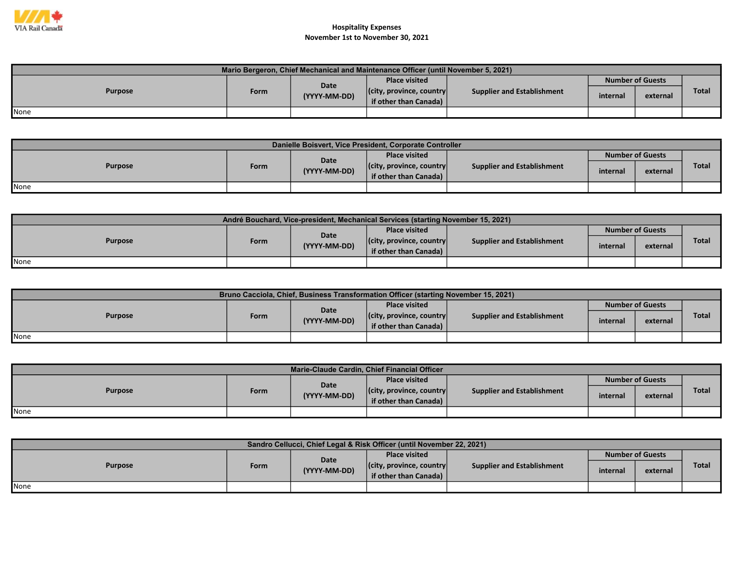

| Mario Bergeron, Chief Mechanical and Maintenance Officer (until November 5, 2021) |      |              |                                                           |                                   |          |                         |              |  |  |  |  |
|-----------------------------------------------------------------------------------|------|--------------|-----------------------------------------------------------|-----------------------------------|----------|-------------------------|--------------|--|--|--|--|
| <b>Purpose</b>                                                                    |      | Date         | Place visited                                             |                                   |          | <b>Number of Guests</b> |              |  |  |  |  |
|                                                                                   | Form | (YYYY-MM-DD) | $ $ (city, province, country $ $<br>if other than Canada) | <b>Supplier and Establishment</b> | internal | external                | <b>Total</b> |  |  |  |  |
| None                                                                              |      |              |                                                           |                                   |          |                         |              |  |  |  |  |

| Danielle Boisvert, Vice President, Corporate Controller |             |              |                                                           |                                   |          |                         |              |  |  |  |  |
|---------------------------------------------------------|-------------|--------------|-----------------------------------------------------------|-----------------------------------|----------|-------------------------|--------------|--|--|--|--|
| <b>Purpose</b>                                          |             | <b>Date</b>  | <b>Place visited</b>                                      |                                   |          | <b>Number of Guests</b> |              |  |  |  |  |
|                                                         | <b>Form</b> | (YYYY-MM-DD) | $ $ (city, province, country $ $<br>if other than Canada) | <b>Supplier and Establishment</b> | internal | external                | <b>Total</b> |  |  |  |  |
| None                                                    |             |              |                                                           |                                   |          |                         |              |  |  |  |  |

| André Bouchard, Vice-president, Mechanical Services (starting November 15, 2021) |      |              |                                                           |                                   |                         |          |       |  |  |  |  |
|----------------------------------------------------------------------------------|------|--------------|-----------------------------------------------------------|-----------------------------------|-------------------------|----------|-------|--|--|--|--|
| <b>Purpose</b>                                                                   |      | Date         | <b>Place visited</b>                                      |                                   | <b>Number of Guests</b> |          |       |  |  |  |  |
|                                                                                  | Form | (YYYY-MM-DD) | $ $ (city, province, country $ $<br>if other than Canada) | <b>Supplier and Establishment</b> | internal                | external | Total |  |  |  |  |
| <b>I</b> None                                                                    |      |              |                                                           |                                   |                         |          |       |  |  |  |  |

| <b>Bruno Cacciola, Chief, Business Transformation Officer (starting November 15, 2021)</b> |      |              |                                  |                                   |          |                         |              |  |  |  |  |
|--------------------------------------------------------------------------------------------|------|--------------|----------------------------------|-----------------------------------|----------|-------------------------|--------------|--|--|--|--|
| <b>Purpose</b>                                                                             |      | Date         | <b>Place visited</b>             |                                   |          | <b>Number of Guests</b> |              |  |  |  |  |
|                                                                                            | Form | (YYYY-MM-DD) | $ $ (city, province, country $ $ | <b>Supplier and Establishment</b> | internal | external                | <b>Total</b> |  |  |  |  |
|                                                                                            |      |              | if other than Canada)            |                                   |          |                         |              |  |  |  |  |
| <b>None</b>                                                                                |      |              |                                  |                                   |          |                         |              |  |  |  |  |

| Marie-Claude Cardin, Chief Financial Officer |      |              |                                                           |                            |          |                         |              |  |  |  |  |  |
|----------------------------------------------|------|--------------|-----------------------------------------------------------|----------------------------|----------|-------------------------|--------------|--|--|--|--|--|
| <b>Purpose</b>                               |      | Date         | <b>Place visited</b>                                      |                            |          | <b>Number of Guests</b> |              |  |  |  |  |  |
|                                              | Form | (YYYY-MM-DD) | $ $ (city, province, country $ $<br>if other than Canada) | Supplier and Establishment | internal | external                | <b>Total</b> |  |  |  |  |  |
| <b>None</b>                                  |      |              |                                                           |                            |          |                         |              |  |  |  |  |  |

| Sandro Cellucci, Chief Legal & Risk Officer (until November 22, 2021) |      |              |                                                           |                            |          |                         |              |  |  |  |  |
|-----------------------------------------------------------------------|------|--------------|-----------------------------------------------------------|----------------------------|----------|-------------------------|--------------|--|--|--|--|
| <b>Purpose</b>                                                        |      | Date         | <b>Place visited</b>                                      |                            |          | <b>Number of Guests</b> |              |  |  |  |  |
|                                                                       | Form | (YYYY-MM-DD) | $ $ (city, province, country $ $<br>if other than Canada) | Supplier and Establishment | internal | external                | <b>Total</b> |  |  |  |  |
| <b>I</b> None                                                         |      |              |                                                           |                            |          |                         |              |  |  |  |  |